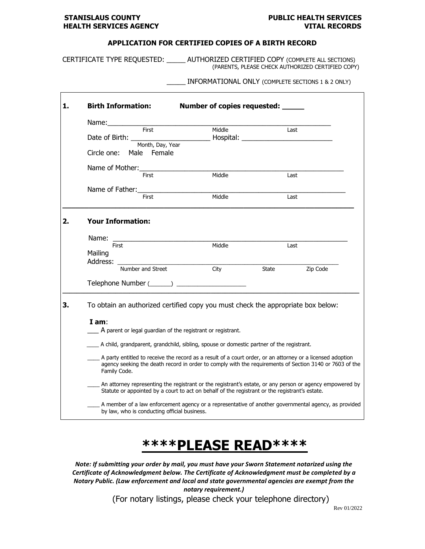Г

┑

## **APPLICATION FOR CERTIFIED COPIES OF A BIRTH RECORD**

CERTIFICATE TYPE REQUESTED: \_\_\_\_\_ AUTHORIZED CERTIFIED COPY (COMPLETE ALL SECTIONS) (PARENTS, PLEASE CHECK AUTHORIZED CERTIFIED COPY)

### \_\_\_\_\_ INFORMATIONAL ONLY (COMPLETE SECTIONS 1 & 2 ONLY)

| 1. | <b>Birth Information:</b>                                                                                                                                                                                                             | Number of copies requested: _____ |       |          |  |  |
|----|---------------------------------------------------------------------------------------------------------------------------------------------------------------------------------------------------------------------------------------|-----------------------------------|-------|----------|--|--|
|    | First                                                                                                                                                                                                                                 | Middle                            | Last  |          |  |  |
|    | Date of Birth: _________<br>Month, Day, Year                                                                                                                                                                                          |                                   |       |          |  |  |
|    | Male Female<br>Circle one:                                                                                                                                                                                                            |                                   |       |          |  |  |
|    | Name of Mother:<br>First                                                                                                                                                                                                              | Middle                            |       |          |  |  |
|    |                                                                                                                                                                                                                                       |                                   | Last  |          |  |  |
|    | Name of Father:<br>First                                                                                                                                                                                                              | Middle                            | Last  |          |  |  |
| 2. | <b>Your Information:</b>                                                                                                                                                                                                              |                                   |       |          |  |  |
|    |                                                                                                                                                                                                                                       |                                   |       |          |  |  |
|    | First<br>Mailing                                                                                                                                                                                                                      | Middle                            | Last  |          |  |  |
|    | Number and Street                                                                                                                                                                                                                     | City                              | State | Zip Code |  |  |
|    |                                                                                                                                                                                                                                       |                                   |       |          |  |  |
| 3. | To obtain an authorized certified copy you must check the appropriate box below:                                                                                                                                                      |                                   |       |          |  |  |
|    | $I$ am:<br>$\_\,$ A parent or legal guardian of the registrant or registrant.                                                                                                                                                         |                                   |       |          |  |  |
|    | A child, grandparent, grandchild, sibling, spouse or domestic partner of the registrant.                                                                                                                                              |                                   |       |          |  |  |
|    | A party entitled to receive the record as a result of a court order, or an attorney or a licensed adoption<br>agency seeking the death record in order to comply with the requirements of Section 3140 or 7603 of the<br>Family Code. |                                   |       |          |  |  |
|    | An attorney representing the registrant or the registrant's estate, or any person or agency empowered by<br>Statute or appointed by a court to act on behalf of the registrant or the registrant's estate.                            |                                   |       |          |  |  |
|    | A member of a law enforcement agency or a representative of another governmental agency, as provided<br>by law, who is conducting official business.                                                                                  |                                   |       |          |  |  |

# **\*\*\*\*PLEASE READ\*\*\*\***

*Note: If submitting your order by mail, you must have your Sworn Statement notarized using the Certificate of Acknowledgment below. The Certificate of Acknowledgment must be completed by a Notary Public. (Law enforcement and local and state governmental agencies are exempt from the notary requirement.)*

(For notary listings, please check your telephone directory)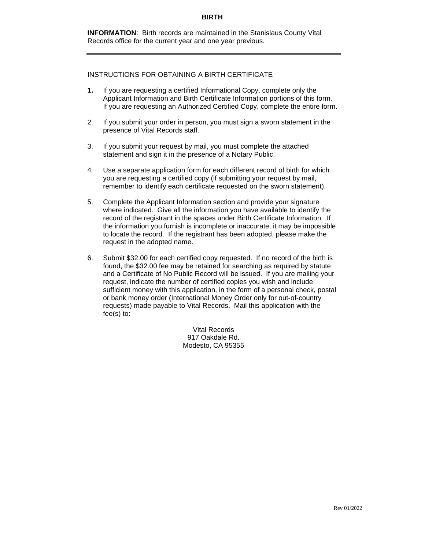**INFORMATION**: Birth records are maintained in the Stanislaus County Vital Records office for the current year and one year previous.

### INSTRUCTIONS FOR OBTAINING A BIRTH CERTIFICATE

- **1.** If you are requesting a certified Informational Copy, complete only the Applicant Information and Birth Certificate Information portions of this form. If you are requesting an Authorized Certified Copy, complete the entire form.
- 2. If you submit your order in person, you must sign a sworn statement in the presence of Vital Records staff.
- 3. If you submit your request by mail, you must complete the attached statement and sign it in the presence of a Notary Public.
- 4. Use a separate application form for each different record of birth for which you are requesting a certified copy (if submitting your request by mail, remember to identify each certificate requested on the sworn statement).
- 5. Complete the Applicant Information section and provide your signature where indicated. Give all the information you have available to identify the record of the registrant in the spaces under Birth Certificate Information. If the information you furnish is incomplete or inaccurate, it may be impossible to locate the record. If the registrant has been adopted, please make the request in the adopted name.
- 6. Submit \$32.00 for each certified copy requested. If no record of the birth is found, the \$32.00 fee may be retained for searching as required by statute and a Certificate of No Public Record will be issued. If you are mailing your request, indicate the number of certified copies you wish and include sufficient money with this application, in the form of a personal check, postal or bank money order (International Money Order only for out-of-country requests) made payable to Vital Records. Mail this application with the fee(s) to:

Vital Records 917 Oakdale Rd. Modesto, CA 95355